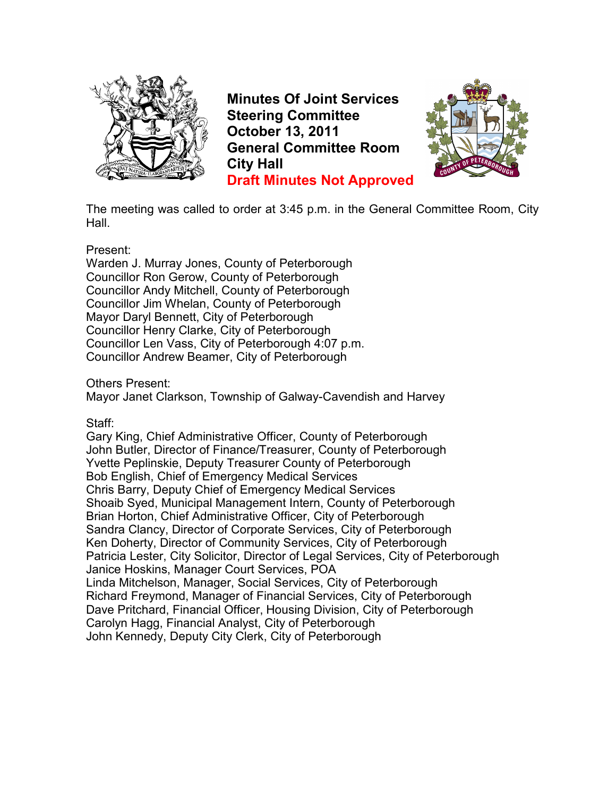

**Minutes Of Joint Services Steering Committee October 13, 2011 General Committee Room City Hall Draft Minutes Not Approved**



The meeting was called to order at 3:45 p.m. in the General Committee Room, City Hall.

## Present:

Warden J. Murray Jones, County of Peterborough Councillor Ron Gerow, County of Peterborough Councillor Andy Mitchell, County of Peterborough Councillor Jim Whelan, County of Peterborough Mayor Daryl Bennett, City of Peterborough Councillor Henry Clarke, City of Peterborough Councillor Len Vass, City of Peterborough 4:07 p.m. Councillor Andrew Beamer, City of Peterborough

Others Present:

Mayor Janet Clarkson, Township of Galway-Cavendish and Harvey

Staff:

Gary King, Chief Administrative Officer, County of Peterborough John Butler, Director of Finance/Treasurer, County of Peterborough Yvette Peplinskie, Deputy Treasurer County of Peterborough Bob English, Chief of Emergency Medical Services Chris Barry, Deputy Chief of Emergency Medical Services Shoaib Syed, Municipal Management Intern, County of Peterborough Brian Horton, Chief Administrative Officer, City of Peterborough Sandra Clancy, Director of Corporate Services, City of Peterborough Ken Doherty, Director of Community Services, City of Peterborough Patricia Lester, City Solicitor, Director of Legal Services, City of Peterborough Janice Hoskins, Manager Court Services, POA Linda Mitchelson, Manager, Social Services, City of Peterborough Richard Freymond, Manager of Financial Services, City of Peterborough Dave Pritchard, Financial Officer, Housing Division, City of Peterborough Carolyn Hagg, Financial Analyst, City of Peterborough John Kennedy, Deputy City Clerk, City of Peterborough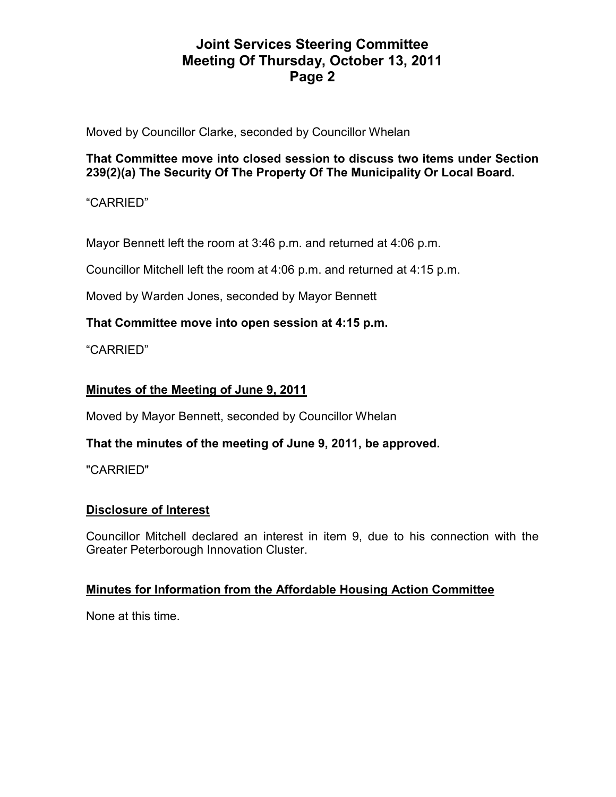Moved by Councillor Clarke, seconded by Councillor Whelan

## **That Committee move into closed session to discuss two items under Section 239(2)(a) The Security Of The Property Of The Municipality Or Local Board.**

"CARRIED"

Mayor Bennett left the room at 3:46 p.m. and returned at 4:06 p.m.

Councillor Mitchell left the room at 4:06 p.m. and returned at 4:15 p.m.

Moved by Warden Jones, seconded by Mayor Bennett

# **That Committee move into open session at 4:15 p.m.**

"CARRIED"

# **Minutes of the Meeting of June 9, 2011**

Moved by Mayor Bennett, seconded by Councillor Whelan

# **That the minutes of the meeting of June 9, 2011, be approved.**

"CARRIED"

# **Disclosure of Interest**

Councillor Mitchell declared an interest in item 9, due to his connection with the Greater Peterborough Innovation Cluster.

## **Minutes for Information from the Affordable Housing Action Committee**

None at this time.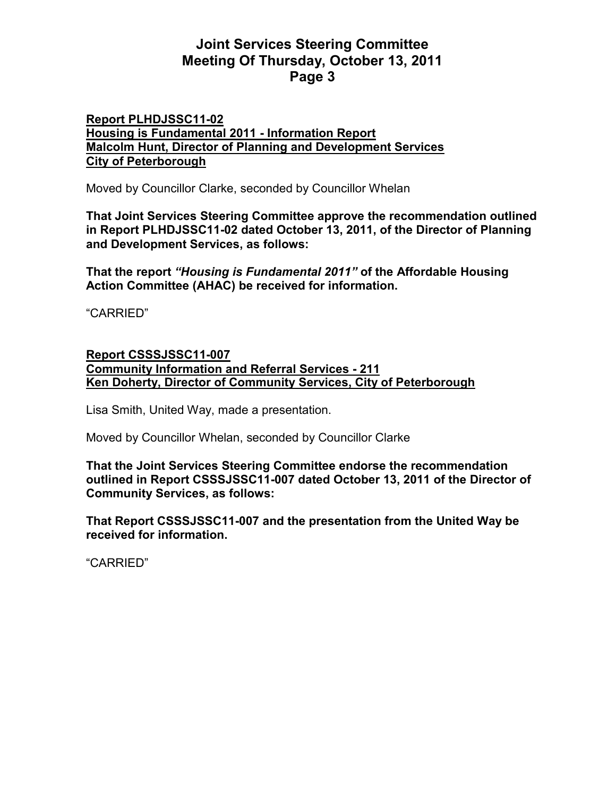### **Report PLHDJSSC11-02 Housing is Fundamental 2011 - Information Report Malcolm Hunt, Director of Planning and Development Services City of Peterborough**

Moved by Councillor Clarke, seconded by Councillor Whelan

**That Joint Services Steering Committee approve the recommendation outlined in Report PLHDJSSC11-02 dated October 13, 2011, of the Director of Planning and Development Services, as follows:** 

**That the report** *"Housing is Fundamental 2011"* **of the Affordable Housing Action Committee (AHAC) be received for information.** 

"CARRIED"

#### **Report CSSSJSSC11-007 Community Information and Referral Services - 211 Ken Doherty, Director of Community Services, City of Peterborough**

Lisa Smith, United Way, made a presentation.

Moved by Councillor Whelan, seconded by Councillor Clarke

**That the Joint Services Steering Committee endorse the recommendation outlined in Report CSSSJSSC11-007 dated October 13, 2011 of the Director of Community Services, as follows:** 

**That Report CSSSJSSC11-007 and the presentation from the United Way be received for information.**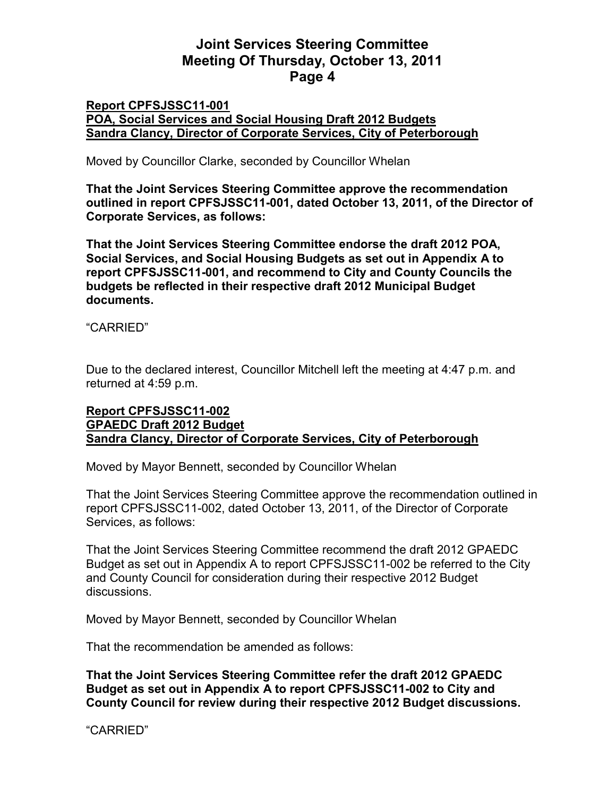### **Report CPFSJSSC11-001 POA, Social Services and Social Housing Draft 2012 Budgets Sandra Clancy, Director of Corporate Services, City of Peterborough**

Moved by Councillor Clarke, seconded by Councillor Whelan

**That the Joint Services Steering Committee approve the recommendation outlined in report CPFSJSSC11-001, dated October 13, 2011, of the Director of Corporate Services, as follows:** 

**That the Joint Services Steering Committee endorse the draft 2012 POA, Social Services, and Social Housing Budgets as set out in Appendix A to report CPFSJSSC11-001, and recommend to City and County Councils the budgets be reflected in their respective draft 2012 Municipal Budget documents.** 

"CARRIED"

Due to the declared interest, Councillor Mitchell left the meeting at 4:47 p.m. and returned at 4:59 p.m.

# **Report CPFSJSSC11-002 GPAEDC Draft 2012 Budget Sandra Clancy, Director of Corporate Services, City of Peterborough**

Moved by Mayor Bennett, seconded by Councillor Whelan

That the Joint Services Steering Committee approve the recommendation outlined in report CPFSJSSC11-002, dated October 13, 2011, of the Director of Corporate Services, as follows:

That the Joint Services Steering Committee recommend the draft 2012 GPAEDC Budget as set out in Appendix A to report CPFSJSSC11-002 be referred to the City and County Council for consideration during their respective 2012 Budget discussions.

Moved by Mayor Bennett, seconded by Councillor Whelan

That the recommendation be amended as follows:

**That the Joint Services Steering Committee refer the draft 2012 GPAEDC Budget as set out in Appendix A to report CPFSJSSC11-002 to City and County Council for review during their respective 2012 Budget discussions.**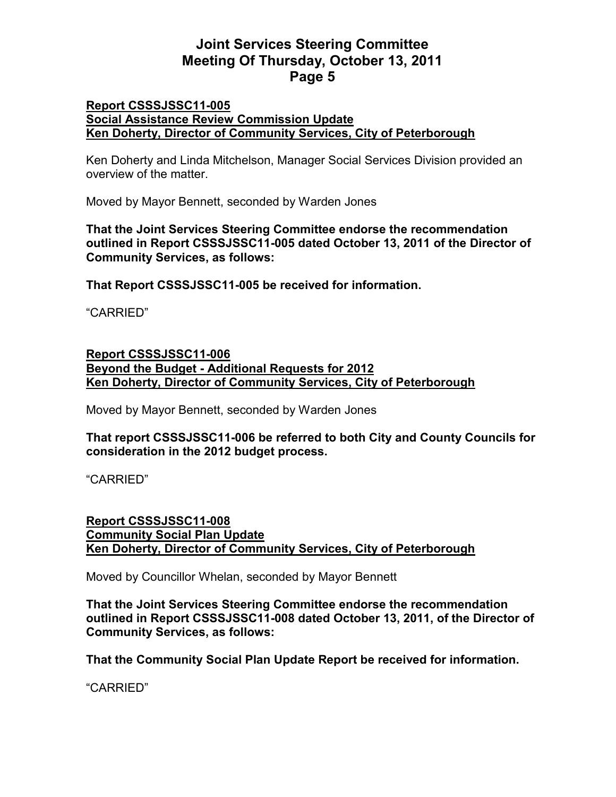#### **Report CSSSJSSC11-005 Social Assistance Review Commission Update Ken Doherty, Director of Community Services, City of Peterborough**

Ken Doherty and Linda Mitchelson, Manager Social Services Division provided an overview of the matter.

Moved by Mayor Bennett, seconded by Warden Jones

**That the Joint Services Steering Committee endorse the recommendation outlined in Report CSSSJSSC11-005 dated October 13, 2011 of the Director of Community Services, as follows:** 

**That Report CSSSJSSC11-005 be received for information.** 

"CARRIED"

## **Report CSSSJSSC11-006 Beyond the Budget - Additional Requests for 2012 Ken Doherty, Director of Community Services, City of Peterborough**

Moved by Mayor Bennett, seconded by Warden Jones

## **That report CSSSJSSC11-006 be referred to both City and County Councils for consideration in the 2012 budget process.**

"CARRIED"

## **Report CSSSJSSC11-008 Community Social Plan Update Ken Doherty, Director of Community Services, City of Peterborough**

Moved by Councillor Whelan, seconded by Mayor Bennett

**That the Joint Services Steering Committee endorse the recommendation outlined in Report CSSSJSSC11-008 dated October 13, 2011, of the Director of Community Services, as follows:** 

**That the Community Social Plan Update Report be received for information.**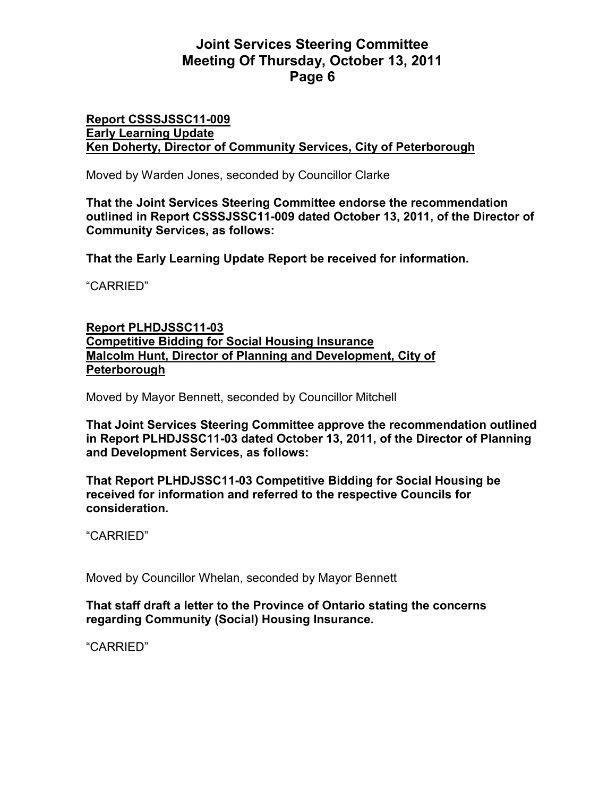#### **Report CSSSJSSC11-009 Early Learning Update Ken Doherty, Director of Community Services, City of Peterborough**

Moved by Warden Jones, seconded by Councillor Clarke

**That the Joint Services Steering Committee endorse the recommendation outlined in Report CSSSJSSC11-009 dated October 13, 2011, of the Director of Community Services, as follows:** 

**That the Early Learning Update Report be received for information.** 

"CARRIED"

## **Report PLHDJSSC11-03 Competitive Bidding for Social Housing Insurance Malcolm Hunt, Director of Planning and Development, City of Peterborough**

Moved by Mayor Bennett, seconded by Councillor Mitchell

**That Joint Services Steering Committee approve the recommendation outlined in Report PLHDJSSC11-03 dated October 13, 2011, of the Director of Planning and Development Services, as follows:** 

**That Report PLHDJSSC11-03 Competitive Bidding for Social Housing be received for information and referred to the respective Councils for consideration.** 

"CARRIED"

Moved by Councillor Whelan, seconded by Mayor Bennett

## **That staff draft a letter to the Province of Ontario stating the concerns regarding Community (Social) Housing Insurance.**